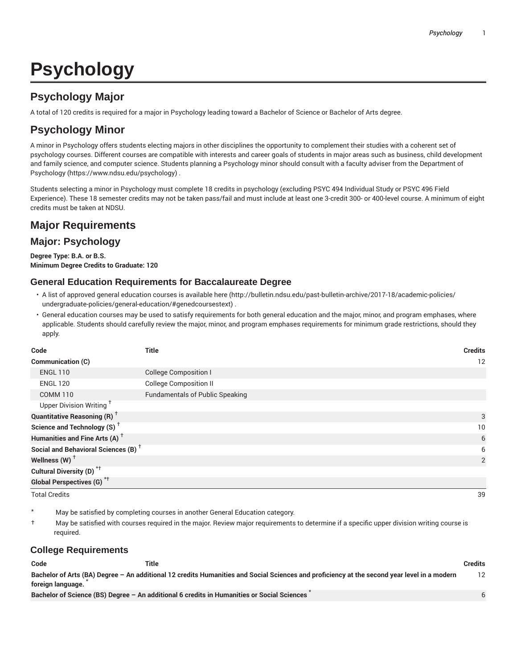# **Psychology**

# **Psychology Major**

A total of 120 credits is required for a major in Psychology leading toward a Bachelor of Science or Bachelor of Arts degree.

# **Psychology Minor**

A minor in Psychology offers students electing majors in other disciplines the opportunity to complement their studies with a coherent set of psychology courses. Different courses are compatible with interests and career goals of students in major areas such as business, child development and family science, and computer science. Students planning a Psychology minor should consult with a faculty adviser from the Department of Psychology (https://www.ndsu.edu/psychology) .

Students selecting a minor in Psychology must complete 18 credits in psychology (excluding PSYC 494 Individual Study or PSYC 496 Field Experience). These 18 semester credits may not be taken pass/fail and must include at least one 3-credit 300- or 400-level course. A minimum of eight credits must be taken at NDSU.

# **Major Requirements**

# **Major: Psychology**

**Degree Type: B.A. or B.S. Minimum Degree Credits to Graduate: 120**

# **General Education Requirements for Baccalaureate Degree**

- A list of approved general education courses is available here (http://bulletin.ndsu.edu/past-bulletin-archive/2017-18/academic-policies/ undergraduate-policies/general-education/#genedcoursestext) .
- General education courses may be used to satisfy requirements for both general education and the major, minor, and program emphases, where applicable. Students should carefully review the major, minor, and program emphases requirements for minimum grade restrictions, should they apply.

| Code                                            | <b>Title</b>                           | <b>Credits</b> |
|-------------------------------------------------|----------------------------------------|----------------|
| Communication (C)                               |                                        | 12             |
| <b>ENGL 110</b>                                 | <b>College Composition I</b>           |                |
| <b>ENGL 120</b>                                 | <b>College Composition II</b>          |                |
| <b>COMM 110</b>                                 | <b>Fundamentals of Public Speaking</b> |                |
| Upper Division Writing <sup>+</sup>             |                                        |                |
| <b>Quantitative Reasoning (R)</b> <sup>†</sup>  |                                        | 3              |
| Science and Technology (S) <sup>+</sup>         |                                        | 10             |
| Humanities and Fine Arts (A) <sup>+</sup>       |                                        | 6              |
| Social and Behavioral Sciences (B) <sup>+</sup> |                                        | 6              |
| Wellness $(W)$ <sup>+</sup>                     |                                        | 2              |
| Cultural Diversity (D) <sup>*†</sup>            |                                        |                |
| <b>Global Perspectives (G)<sup>*†</sup></b>     |                                        |                |

Total Credits 39

May be satisfied by completing courses in another General Education category.

† May be satisfied with courses required in the major. Review major requirements to determine if a specific upper division writing course is required.

### **College Requirements**

| Code              | Title                                                                                                                                       | Credits |
|-------------------|---------------------------------------------------------------------------------------------------------------------------------------------|---------|
|                   | Bachelor of Arts (BA) Degree – An additional 12 credits Humanities and Social Sciences and proficiency at the second year level in a modern | 12      |
| foreign language. |                                                                                                                                             |         |
|                   | Bachelor of Science (BS) Degree - An additional 6 credits in Humanities or Social Sciences                                                  |         |

6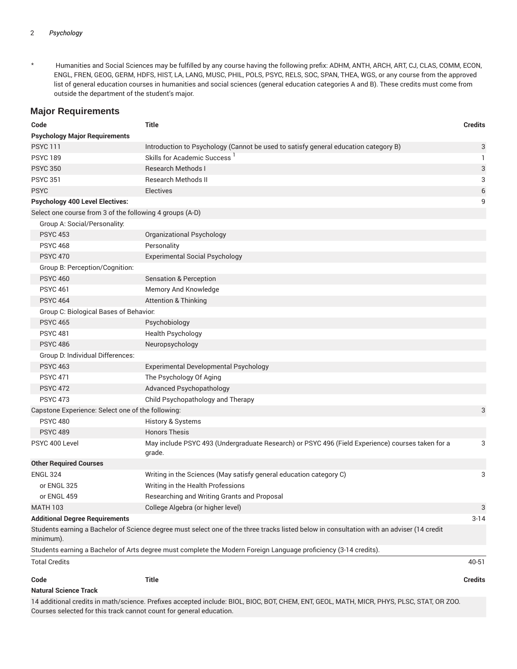### 2 *Psychology*

\* Humanities and Social Sciences may be fulfilled by any course having the following prefix: ADHM, ANTH, ARCH, ART, CJ, CLAS, COMM, ECON, ENGL, FREN, GEOG, GERM, HDFS, HIST, LA, LANG, MUSC, PHIL, POLS, PSYC, RELS, SOC, SPAN, THEA, WGS, or any course from the approved list of general education courses in humanities and social sciences (general education categories A and B). These credits must come from outside the department of the student's major.

### **Major Requirements**

| Code                                                     | <b>Title</b>                                                                                                                              | <b>Credits</b> |
|----------------------------------------------------------|-------------------------------------------------------------------------------------------------------------------------------------------|----------------|
| <b>Psychology Major Requirements</b>                     |                                                                                                                                           |                |
| <b>PSYC111</b>                                           | Introduction to Psychology (Cannot be used to satisfy general education category B)                                                       | 3              |
| <b>PSYC 189</b>                                          | Skills for Academic Success <sup>1</sup>                                                                                                  | 1              |
| <b>PSYC 350</b>                                          | <b>Research Methods I</b>                                                                                                                 | 3              |
| <b>PSYC 351</b>                                          | <b>Research Methods II</b>                                                                                                                | 3              |
| <b>PSYC</b>                                              | <b>Electives</b>                                                                                                                          | 6              |
| <b>Psychology 400 Level Electives:</b>                   |                                                                                                                                           | 9              |
| Select one course from 3 of the following 4 groups (A-D) |                                                                                                                                           |                |
| Group A: Social/Personality:                             |                                                                                                                                           |                |
| <b>PSYC 453</b>                                          | Organizational Psychology                                                                                                                 |                |
| <b>PSYC 468</b>                                          | Personality                                                                                                                               |                |
| <b>PSYC 470</b>                                          | <b>Experimental Social Psychology</b>                                                                                                     |                |
| Group B: Perception/Cognition:                           |                                                                                                                                           |                |
| <b>PSYC 460</b>                                          | <b>Sensation &amp; Perception</b>                                                                                                         |                |
| <b>PSYC 461</b>                                          | Memory And Knowledge                                                                                                                      |                |
| <b>PSYC 464</b>                                          | <b>Attention &amp; Thinking</b>                                                                                                           |                |
| Group C: Biological Bases of Behavior:                   |                                                                                                                                           |                |
| <b>PSYC 465</b>                                          | Psychobiology                                                                                                                             |                |
| <b>PSYC 481</b>                                          | <b>Health Psychology</b>                                                                                                                  |                |
| <b>PSYC 486</b>                                          | Neuropsychology                                                                                                                           |                |
| Group D: Individual Differences:                         |                                                                                                                                           |                |
| <b>PSYC 463</b>                                          | Experimental Developmental Psychology                                                                                                     |                |
| <b>PSYC 471</b>                                          | The Psychology Of Aging                                                                                                                   |                |
| <b>PSYC 472</b>                                          | <b>Advanced Psychopathology</b>                                                                                                           |                |
| <b>PSYC 473</b>                                          | Child Psychopathology and Therapy                                                                                                         |                |
| Capstone Experience: Select one of the following:        |                                                                                                                                           | 3              |
| <b>PSYC 480</b>                                          | History & Systems                                                                                                                         |                |
| <b>PSYC 489</b>                                          | <b>Honors Thesis</b>                                                                                                                      |                |
| PSYC 400 Level                                           | May include PSYC 493 (Undergraduate Research) or PSYC 496 (Field Experience) courses taken for a<br>grade.                                | 3              |
| <b>Other Required Courses</b>                            |                                                                                                                                           |                |
| <b>ENGL 324</b>                                          | Writing in the Sciences (May satisfy general education category C)                                                                        | 3              |
| or ENGL 325                                              | Writing in the Health Professions                                                                                                         |                |
| or ENGL 459                                              | Researching and Writing Grants and Proposal                                                                                               |                |
| <b>MATH 103</b>                                          | College Algebra (or higher level)                                                                                                         | 3              |
| <b>Additional Degree Requirements</b>                    |                                                                                                                                           | $3 - 14$       |
| minimum).                                                | Students earning a Bachelor of Science degree must select one of the three tracks listed below in consultation with an adviser (14 credit |                |
|                                                          | Students earning a Bachelor of Arts degree must complete the Modern Foreign Language proficiency (3-14 credits).                          |                |
| <b>Total Credits</b>                                     |                                                                                                                                           | 40-51          |
| Code                                                     | <b>Title</b>                                                                                                                              | <b>Credits</b> |
| <b>Natural Science Track</b>                             |                                                                                                                                           |                |

14 additional credits in math/science. Prefixes accepted include: BIOL, BIOC, BOT, CHEM, ENT, GEOL, MATH, MICR, PHYS, PLSC, STAT, OR ZOO. Courses selected for this track cannot count for general education.